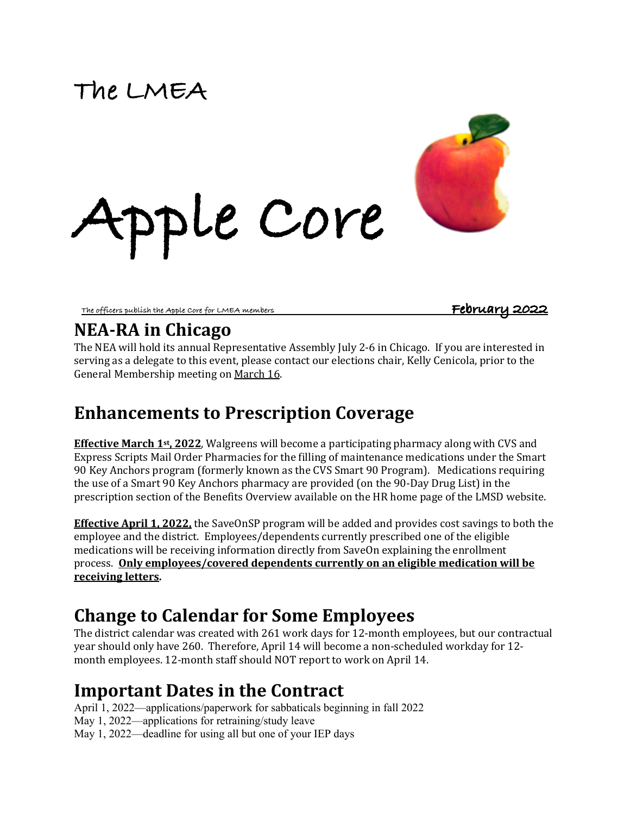# **The LMEA**



**The officers publish the Apple Core for LMEA members February 2022** 

### **NEA-RA in Chicago**

The NEA will hold its annual Representative Assembly July 2-6 in Chicago. If you are interested in serving as a delegate to this event, please contact our elections chair, Kelly Cenicola, prior to the General Membership meeting on March 16.

# **Enhancements to Prescription Coverage**

**Apple Core**

**Effective March 1st, 2022.** Walgreens will become a participating pharmacy along with CVS and Express Scripts Mail Order Pharmacies for the filling of maintenance medications under the Smart 90 Key Anchors program (formerly known as the CVS Smart 90 Program). Medications requiring the use of a Smart 90 Key Anchors pharmacy are provided (on the 90-Day Drug List) in the prescription section of the Benefits Overview available on the HR home page of the LMSD website.

**Effective April 1, 2022,** the SaveOnSP program will be added and provides cost savings to both the employee and the district. Employees/dependents currently prescribed one of the eligible medications will be receiving information directly from SaveOn explaining the enrollment process. **Only employees/covered dependents currently on an eligible medication will be receiving letters.** 

### **Change to Calendar for Some Employees**

The district calendar was created with 261 work days for 12-month employees, but our contractual year should only have 260. Therefore, April 14 will become a non-scheduled workday for 12month employees. 12-month staff should NOT report to work on April 14.

# **Important Dates in the Contract**

April 1, 2022—applications/paperwork for sabbaticals beginning in fall 2022 May 1, 2022—applications for retraining/study leave May 1, 2022—deadline for using all but one of your IEP days